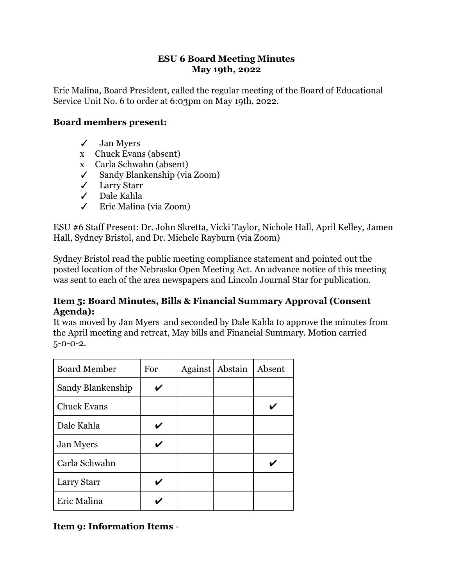#### **ESU 6 Board Meeting Minutes May 19th, 2022**

Eric Malina, Board President, called the regular meeting of the Board of Educational Service Unit No. 6 to order at 6:03pm on May 19th, 2022.

#### **Board members present:**

- ✓ Jan Myers
- x Chuck Evans (absent)
- x Carla Schwahn (absent)
- ✓ Sandy Blankenship (via Zoom)
- ✓ Larry Starr
- ✓ Dale Kahla
- ✓ Eric Malina (via Zoom)

ESU #6 Staff Present: Dr. John Skretta, Vicki Taylor, Nichole Hall, April Kelley, Jamen Hall, Sydney Bristol, and Dr. Michele Rayburn (via Zoom)

Sydney Bristol read the public meeting compliance statement and pointed out the posted location of the Nebraska Open Meeting Act. An advance notice of this meeting was sent to each of the area newspapers and Lincoln Journal Star for publication.

#### **Item 5: Board Minutes, Bills & Financial Summary Approval (Consent Agenda):**

It was moved by Jan Myers and seconded by Dale Kahla to approve the minutes from the April meeting and retreat, May bills and Financial Summary. Motion carried 5-0-0-2.

| <b>Board Member</b> | For | <b>Against</b> | Abstain | Absent |
|---------------------|-----|----------------|---------|--------|
| Sandy Blankenship   |     |                |         |        |
| <b>Chuck Evans</b>  |     |                |         |        |
| Dale Kahla          |     |                |         |        |
| <b>Jan Myers</b>    |     |                |         |        |
| Carla Schwahn       |     |                |         |        |
| Larry Starr         |     |                |         |        |
| Eric Malina         |     |                |         |        |

**Item 9: Information Items** -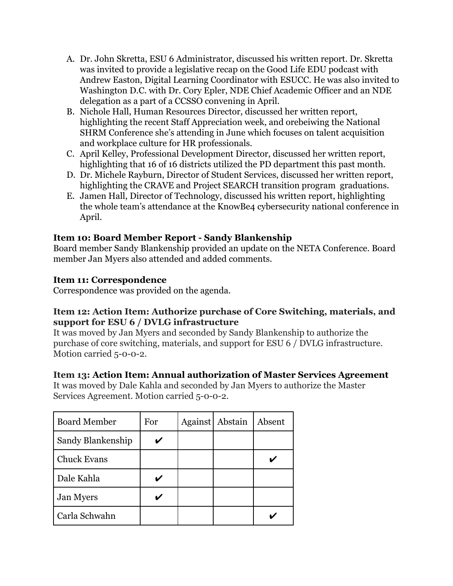- A. Dr. John Skretta, ESU 6 Administrator, discussed his written report. Dr. Skretta was invited to provide a legislative recap on the Good Life EDU podcast with Andrew Easton, Digital Learning Coordinator with ESUCC. He was also invited to Washington D.C. with Dr. Cory Epler, NDE Chief Academic Officer and an NDE delegation as a part of a CCSSO convening in April.
- B. Nichole Hall, Human Resources Director, discussed her written report, highlighting the recent Staff Appreciation week, and orebeiwing the National SHRM Conference she's attending in June which focuses on talent acquisition and workplace culture for HR professionals.
- C. April Kelley, Professional Development Director, discussed her written report, highlighting that 16 of 16 districts utilized the PD department this past month.
- D. Dr. Michele Rayburn, Director of Student Services, discussed her written report, highlighting the CRAVE and Project SEARCH transition program graduations.
- E. Jamen Hall, Director of Technology, discussed his written report, highlighting the whole team's attendance at the KnowBe4 cybersecurity national conference in April.

# **Item 10: Board Member Report - Sandy Blankenship**

Board member Sandy Blankenship provided an update on the NETA Conference. Board member Jan Myers also attended and added comments.

## **Item 11: Correspondence**

Correspondence was provided on the agenda.

## **Item 12: Action Item: Authorize purchase of Core Switching, materials, and support for ESU 6 / DVLG infrastructure**

It was moved by Jan Myers and seconded by Sandy Blankenship to authorize the purchase of core switching, materials, and support for ESU 6 / DVLG infrastructure. Motion carried 5-0-0-2.

## **Item 13: Action Item: Annual authorization of Master Services Agreement**

It was moved by Dale Kahla and seconded by Jan Myers to authorize the Master Services Agreement. Motion carried 5-0-0-2.

| <b>Board Member</b> | For | Against | Abstain | Absent |
|---------------------|-----|---------|---------|--------|
| Sandy Blankenship   |     |         |         |        |
| <b>Chuck Evans</b>  |     |         |         |        |
| Dale Kahla          |     |         |         |        |
| <b>Jan Myers</b>    |     |         |         |        |
| Carla Schwahn       |     |         |         |        |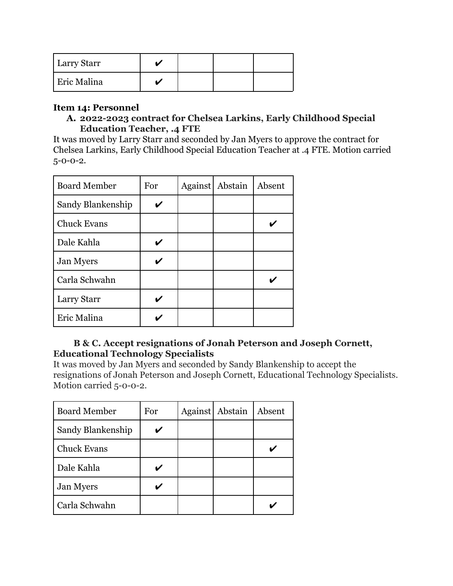| <b>Larry Starr</b> |  |  |
|--------------------|--|--|
| <b>Eric Malina</b> |  |  |

#### **Item 14: Personnel**

**A. 2022-2023 contract for Chelsea Larkins, Early Childhood Special Education Teacher, .4 FTE**

It was moved by Larry Starr and seconded by Jan Myers to approve the contract for Chelsea Larkins, Early Childhood Special Education Teacher at .4 FTE. Motion carried 5-0-0-2.

| <b>Board Member</b> | For | Against Abstain | Absent |
|---------------------|-----|-----------------|--------|
| Sandy Blankenship   |     |                 |        |
| <b>Chuck Evans</b>  |     |                 |        |
| Dale Kahla          |     |                 |        |
| <b>Jan Myers</b>    |     |                 |        |
| Carla Schwahn       |     |                 |        |
| Larry Starr         |     |                 |        |
| Eric Malina         |     |                 |        |

## **B & C. Accept resignations of Jonah Peterson and Joseph Cornett, Educational Technology Specialists**

It was moved by Jan Myers and seconded by Sandy Blankenship to accept the resignations of Jonah Peterson and Joseph Cornett, Educational Technology Specialists. Motion carried 5-0-0-2.

| <b>Board Member</b> | For | Against Abstain | Absent |
|---------------------|-----|-----------------|--------|
| Sandy Blankenship   |     |                 |        |
| <b>Chuck Evans</b>  |     |                 |        |
| Dale Kahla          |     |                 |        |
| <b>Jan Myers</b>    |     |                 |        |
| Carla Schwahn       |     |                 |        |